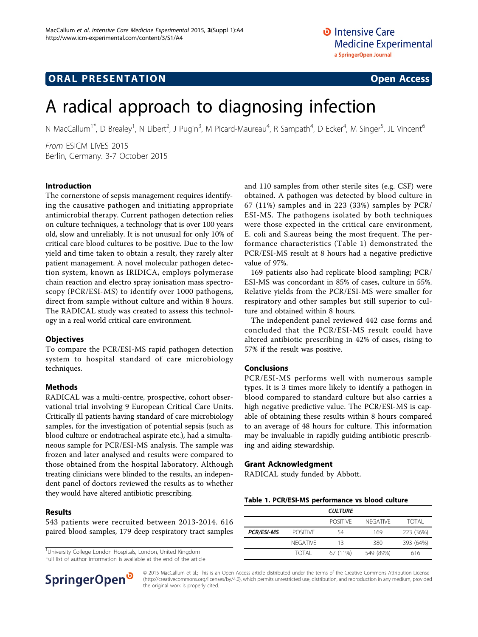## **ORAL PRESENTATION OPEN ACCESS**

# A radical approach to diagnosing infection

N MacCallum<sup>1\*</sup>, D Brealey<sup>1</sup>, N Libert<sup>2</sup>, J Pugin<sup>3</sup>, M Picard-Maureau<sup>4</sup>, R Sampath<sup>4</sup>, D Ecker<sup>4</sup>, M Singer<sup>5</sup>, JL Vincent<sup>6</sup>

From ESICM LIVES 2015 Berlin, Germany. 3-7 October 2015

#### Introduction

The cornerstone of sepsis management requires identifying the causative pathogen and initiating appropriate antimicrobial therapy. Current pathogen detection relies on culture techniques, a technology that is over 100 years old, slow and unreliably. It is not unusual for only 10% of critical care blood cultures to be positive. Due to the low yield and time taken to obtain a result, they rarely alter patient management. A novel molecular pathogen detection system, known as IRIDICA, employs polymerase chain reaction and electro spray ionisation mass spectroscopy (PCR/ESI-MS) to identify over 1000 pathogens, direct from sample without culture and within 8 hours. The RADICAL study was created to assess this technology in a real world critical care environment.

#### **Objectives**

To compare the PCR/ESI-MS rapid pathogen detection system to hospital standard of care microbiology techniques.

#### Methods

RADICAL was a multi-centre, prospective, cohort observational trial involving 9 European Critical Care Units. Critically ill patients having standard of care microbiology samples, for the investigation of potential sepsis (such as blood culture or endotracheal aspirate etc.), had a simultaneous sample for PCR/ESI-MS analysis. The sample was frozen and later analysed and results were compared to those obtained from the hospital laboratory. Although treating clinicians were blinded to the results, an independent panel of doctors reviewed the results as to whether they would have altered antibiotic prescribing.

#### Results

543 patients were recruited between 2013-2014. 616 paired blood samples, 179 deep respiratory tract samples

<sup>1</sup>University College London Hospitals, London, United Kingdom Full list of author information is available at the end of the article and 110 samples from other sterile sites (e.g. CSF) were obtained. A pathogen was detected by blood culture in 67 (11%) samples and in 223 (33%) samples by PCR/ ESI-MS. The pathogens isolated by both techniques were those expected in the critical care environment, E. coli and S.aureas being the most frequent. The performance characteristics (Table 1) demonstrated the PCR/ESI-MS result at 8 hours had a negative predictive value of 97%.

169 patients also had replicate blood sampling; PCR/ ESI-MS was concordant in 85% of cases, culture in 55%. Relative yields from the PCR/ESI-MS were smaller for respiratory and other samples but still superior to culture and obtained within 8 hours.

The independent panel reviewed 442 case forms and concluded that the PCR/ESI-MS result could have altered antibiotic prescribing in 42% of cases, rising to 57% if the result was positive.

#### Conclusions

PCR/ESI-MS performs well with numerous sample types. It is 3 times more likely to identify a pathogen in blood compared to standard culture but also carries a high negative predictive value. The PCR/ESI-MS is capable of obtaining these results within 8 hours compared to an average of 48 hours for culture. This information may be invaluable in rapidly guiding antibiotic prescribing and aiding stewardship.

#### Grant Acknowledgment

RADICAL study funded by Abbott.

|  |  |  | Table 1. PCR/ESI-MS performance vs blood culture |  |  |  |
|--|--|--|--------------------------------------------------|--|--|--|
|--|--|--|--------------------------------------------------|--|--|--|

|                   |                 | <b>CULTURE</b>  |                 |           |
|-------------------|-----------------|-----------------|-----------------|-----------|
|                   |                 | <b>POSITIVE</b> | <b>NFGATIVE</b> | TOTAI     |
| <b>PCR/ESI-MS</b> | <b>POSITIVE</b> | 54              | 169             | 223 (36%) |
|                   | <b>NEGATIVE</b> | 13              | 380             | 393 (64%) |
|                   | TOTAI           | 67 (11%)        | 549 (89%)       | 616       |



© 2015 MacCallum et al.; This is an Open Access article distributed under the terms of the Creative Commons Attribution License [\(http://creativecommons.org/licenses/by/4.0](http://creativecommons.org/licenses/by/4.0)), which permits unrestricted use, distribution, and reproduction in any medium, provided the original work is properly cited.